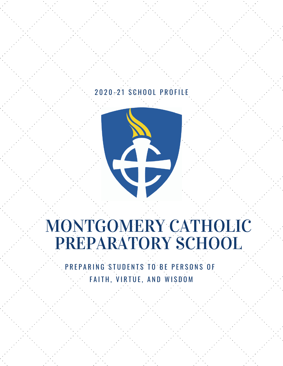### 2 0 2 0 - 2 1 S C H O O L P R O FIL E



## MONTGOMERY CATHOLIC PREPARATORY SCHOOL

PREPARING STUDENTS TO BE PERSONS OF FAITH, VIRTUE, AND WISDOM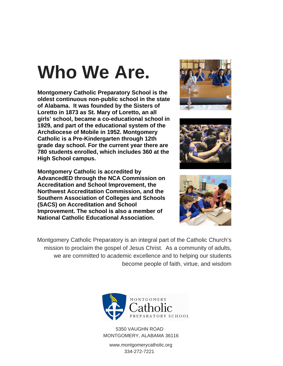# **Who We Are.**

**Montgomery Catholic Preparatory School is the oldest continuous non-public school in the state of Alabama. It was founded by the Sisters of Loretto in 1873 as St. Mary of Loretto, an all girls' school, became a co-educational school in 1929, and part of the educational system of the Archdiocese of Mobile in 1952. Montgomery Catholic is a Pre-Kindergarten through 12th grade day school. For the current year there are 780 students enrolled, which includes 360 at the High School campus.**

**Montgomery Catholic is accredited by AdvancedED through the NCA Commission on Accreditation and School Improvement, the Northwest Accreditation Commission, and the Southern Association of Colleges and Schools (SACS) on Accreditation and School Improvement. The school is also a member of National Catholic Educational Association.**







Montgomery Catholic Preparatory is an integral part of the Catholic Church's mission to proclaim the gospel of Jesus Christ. As a community of adults, we are committed to academic excellence and to helping our students become people of faith, virtue, and wisdom



5350 VAUGHN ROAD MONTGOMERY, ALABAMA 36116

www.montgomerycatholic.org 334-272-7221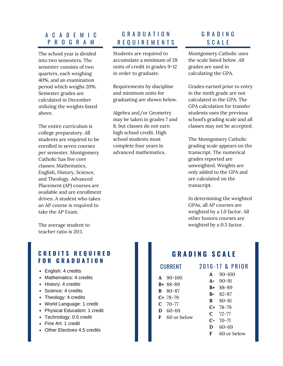#### A C A D E M I C P R O G R A M

The school year is divided into two semesters. The semester consists of two quarters, each weighing 40%, and an examination period which weighs 20%. Semester grades are calculated in December utilizing the weights listed above.

The entire curriculum is college preparatory. All students are required to be enrolled in seven courses per semester. Montgomery Catholic has five core classes: Mathematics, English, History, Science, and Theology. Advanced Placement (AP) courses are available and are enrollment driven. A student who takes an AP course is required to take the AP Exam.

The average student to teacher ratio is 20:1.

#### **C R E D I T S R E Q U I R E D F O R G R A D U A T I O N**

- English: 4 credits
- Mathematics: 4 credits
- History: 4 credits
- Science: 4 credits
- Theology: 4 credits
- World Language: 1 credit
- Physical Education: 1 credit
- Technology: 0.5 credit
- Fine Art: 1 credit
- Other Electives 4.5 credits

### G R A D U A T I O N R E Q U I R E M E N T S

Students are required to accumulate a minimum of 28 units of credit in grades 9-12 in order to graduate.

Requirements by discipline and minimum units for graduating are shown below.

Algebra and/or Geometry may be taken in grades 7 and 8, but classes do not earn high school credit. High school students must complete four years in advanced mathematics.

#### G R A D I N G S C A L E

Montgomery Catholic uses the scale listed below. All grades are used in calculating the GPA.

Grades earned prior to entry in the ninth grade are not calculated in the GPA. The GPA calculation for transfer students uses the previous school's grading scale and all classes may not be accepted.

The Montgomery Catholic grading scale appears on the transcript. The numerical grades reported are unweighted. Weights are only added to the GPA and are calculated on the transcript.

In determining the weighted GPAs, all AP courses are weighted by a 1.0 factor. All other honors courses are weighted by a 0.5 factor.

### **G R A D I N G S C A L E**

**CURRENT 2016-17 & PRIOR** 

- **A** 90-100
- **B+** 88-89
- **B** 80-87
- **C+** 78-79
- **C** 70-77
- **D** 60-69 **F** 60 or below
- **C** 72-77
	- **D**
	- **F**
		- 60 or below
- **A-**90-91 **B+** 88-89
- - **B-**82-87 **B** 80-81

**A**

- - **C+** 78-79
		- **C-**70-71
			-
			- 60-69
			-

90-100